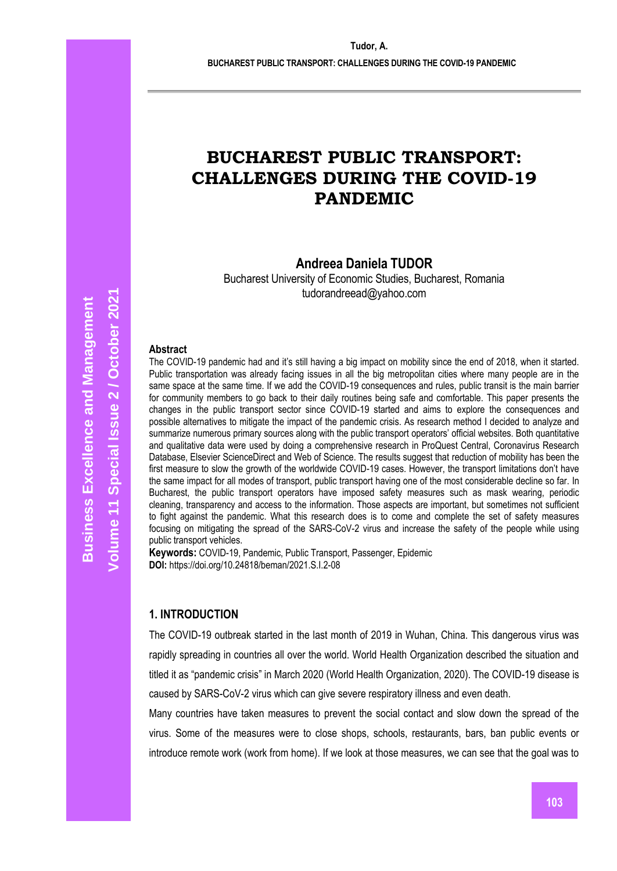**BUCHAREST PUBLIC TRANSPORT: CHALLENGES DURING THE COVID-19 PANDEMIC**

# **BUCHAREST PUBLIC TRANSPORT: CHALLENGES DURING THE COVID-19 PANDEMIC**

# **Andreea Daniela TUDOR**

Bucharest University of Economic Studies, Bucharest, Romania tudorandreead@yahoo.com

#### **Abstract**

The COVID-19 pandemic had and it's still having a big impact on mobility since the end of 2018, when it started. Public transportation was already facing issues in all the big metropolitan cities where many people are in the same space at the same time. If we add the COVID-19 consequences and rules, public transit is the main barrier for community members to go back to their daily routines being safe and comfortable. This paper presents the changes in the public transport sector since COVID-19 started and aims to explore the consequences and possible alternatives to mitigate the impact of the pandemic crisis. As research method I decided to analyze and summarize numerous primary sources along with the public transport operators' official websites. Both quantitative and qualitative data were used by doing a comprehensive research in ProQuest Central, Coronavirus Research Database, Elsevier ScienceDirect and Web of Science. The results suggest that reduction of mobility has been the first measure to slow the growth of the worldwide COVID-19 cases. However, the transport limitations don't have the same impact for all modes of transport, public transport having one of the most considerable decline so far. In Bucharest, the public transport operators have imposed safety measures such as mask wearing, periodic cleaning, transparency and access to the information. Those aspects are important, but sometimes not sufficient to fight against the pandemic. What this research does is to come and complete the set of safety measures focusing on mitigating the spread of the SARS-CoV-2 virus and increase the safety of the people while using public transport vehicles.

**Keywords:** COVID-19, Pandemic, Public Transport, Passenger, Epidemic **DOI:** https://doi.org/10.24818/beman/2021.S.I.2-08

### **1. INTRODUCTION**

The COVID-19 outbreak started in the last month of 2019 in Wuhan, China. This dangerous virus was rapidly spreading in countries all over the world. World Health Organization described the situation and titled it as "pandemic crisis" in March 2020 (World Health Organization, 2020). The COVID-19 disease is caused by SARS-CoV-2 virus which can give severe respiratory illness and even death.

Many countries have taken measures to prevent the social contact and slow down the spread of the virus. Some of the measures were to close shops, schools, restaurants, bars, ban public events or introduce remote work (work from home). If we look at those measures, we can see that the goal was to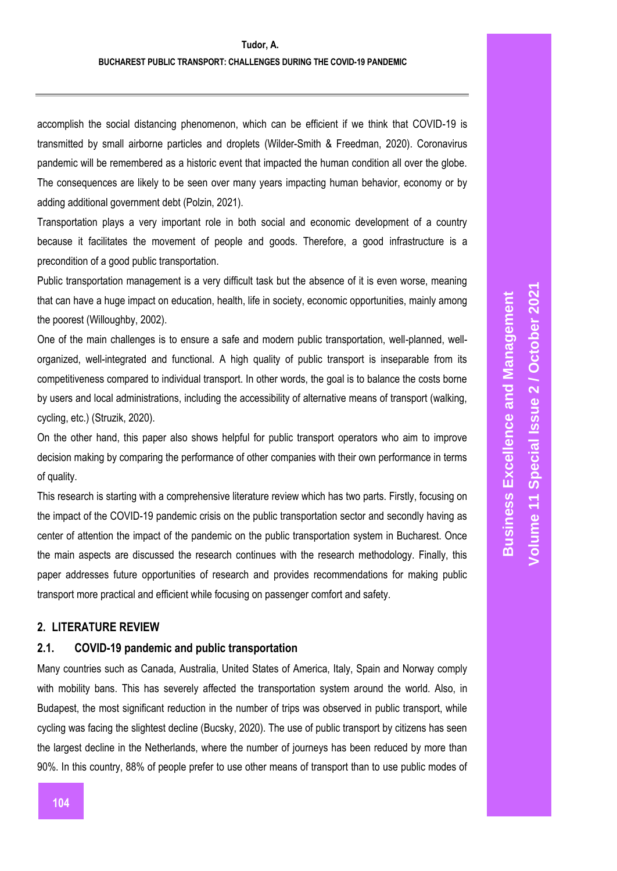accomplish the social distancing phenomenon, which can be efficient if we think that COVID-19 is transmitted by small airborne particles and droplets (Wilder-Smith & Freedman, 2020). Coronavirus pandemic will be remembered as a historic event that impacted the human condition all over the globe. The consequences are likely to be seen over many years impacting human behavior, economy or by adding additional government debt (Polzin, 2021).

Transportation plays a very important role in both social and economic development of a country because it facilitates the movement of people and goods. Therefore, a good infrastructure is a precondition of a good public transportation.

Public transportation management is a very difficult task but the absence of it is even worse, meaning that can have a huge impact on education, health, life in society, economic opportunities, mainly among the poorest (Willoughby, 2002).

One of the main challenges is to ensure a safe and modern public transportation, well-planned, wellorganized, well-integrated and functional. A high quality of public transport is inseparable from its competitiveness compared to individual transport. In other words, the goal is to balance the costs borne by users and local administrations, including the accessibility of alternative means of transport (walking, cycling, etc.) (Struzik, 2020).

On the other hand, this paper also shows helpful for public transport operators who aim to improve decision making by comparing the performance of other companies with their own performance in terms of quality.

This research is starting with a comprehensive literature review which has two parts. Firstly, focusing on the impact of the COVID-19 pandemic crisis on the public transportation sector and secondly having as center of attention the impact of the pandemic on the public transportation system in Bucharest. Once the main aspects are discussed the research continues with the research methodology. Finally, this paper addresses future opportunities of research and provides recommendations for making public transport more practical and efficient while focusing on passenger comfort and safety.

# **2. LITERATURE REVIEW**

# **2.1. COVID-19 pandemic and public transportation**

Many countries such as Canada, Australia, United States of America, Italy, Spain and Norway comply with mobility bans. This has severely affected the transportation system around the world. Also, in Budapest, the most significant reduction in the number of trips was observed in public transport, while cycling was facing the slightest decline (Bucsky, 2020). The use of public transport by citizens has seen the largest decline in the Netherlands, where the number of journeys has been reduced by more than 90%. In this country, 88% of people prefer to use other means of transport than to use public modes of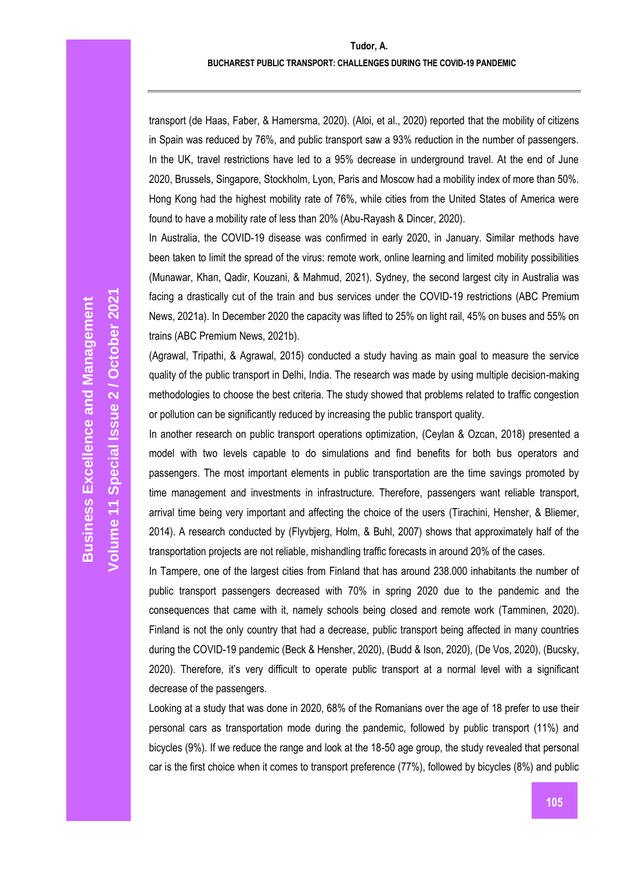#### **BUCHAREST PUBLIC TRANSPORT: CHALLENGES DURING THE COVID-19 PANDEMIC**

transport (de Haas, Faber, & Hamersma, 2020). (Aloi, et al., 2020) reported that the mobility of citizens in Spain was reduced by 76%, and public transport saw a 93% reduction in the number of passengers. In the UK, travel restrictions have led to a 95% decrease in underground travel. At the end of June 2020, Brussels, Singapore, Stockholm, Lyon, Paris and Moscow had a mobility index of more than 50%. Hong Kong had the highest mobility rate of 76%, while cities from the United States of America were found to have a mobility rate of less than 20% (Abu-Rayash & Dincer, 2020).

In Australia, the COVID-19 disease was confirmed in early 2020, in January. Similar methods have been taken to limit the spread of the virus: remote work, online learning and limited mobility possibilities (Munawar, Khan, Qadir, Kouzani, & Mahmud, 2021). Sydney, the second largest city in Australia was facing a drastically cut of the train and bus services under the COVID-19 restrictions (ABC Premium News, 2021a). In December 2020 the capacity was lifted to 25% on light rail, 45% on buses and 55% on trains (ABC Premium News, 2021b).

(Agrawal, Tripathi, & Agrawal, 2015) conducted a study having as main goal to measure the service quality of the public transport in Delhi, India. The research was made by using multiple decision-making methodologies to choose the best criteria. The study showed that problems related to traffic congestion or pollution can be significantly reduced by increasing the public transport quality.

In another research on public transport operations optimization, (Ceylan & Ozcan, 2018) presented a model with two levels capable to do simulations and find benefits for both bus operators and passengers. The most important elements in public transportation are the time savings promoted by time management and investments in infrastructure. Therefore, passengers want reliable transport, arrival time being very important and affecting the choice of the users (Tirachini, Hensher, & Bliemer, 2014). A research conducted by (Flyvbjerg, Holm, & Buhl, 2007) shows that approximately half of the transportation projects are not reliable, mishandling traffic forecasts in around 20% of the cases.

In Tampere, one of the largest cities from Finland that has around 238.000 inhabitants the number of public transport passengers decreased with 70% in spring 2020 due to the pandemic and the consequences that came with it, namely schools being closed and remote work (Tamminen, 2020). Finland is not the only country that had a decrease, public transport being affected in many countries during the COVID-19 pandemic (Beck & Hensher, 2020), (Budd & Ison, 2020), (De Vos, 2020), (Bucsky, 2020). Therefore, it's very difficult to operate public transport at a normal level with a significant decrease of the passengers.

Looking at a study that was done in 2020, 68% of the Romanians over the age of 18 prefer to use their personal cars as transportation mode during the pandemic, followed by public transport (11%) and bicycles (9%). If we reduce the range and look at the 18-50 age group, the study revealed that personal car is the first choice when it comes to transport preference (77%), followed by bicycles (8%) and public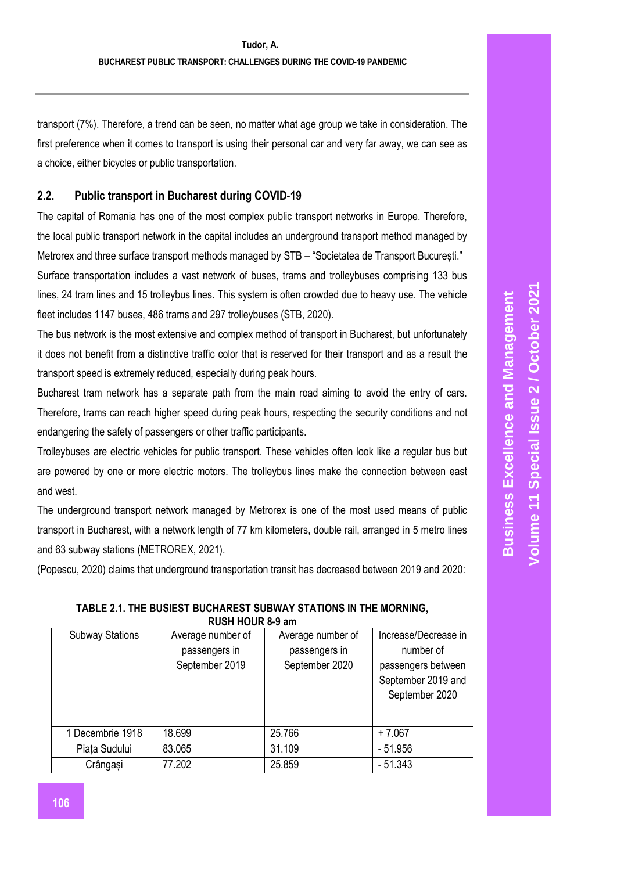transport (7%). Therefore, a trend can be seen, no matter what age group we take in consideration. The first preference when it comes to transport is using their personal car and very far away, we can see as a choice, either bicycles or public transportation.

# **2.2. Public transport in Bucharest during COVID-19**

The capital of Romania has one of the most complex public transport networks in Europe. Therefore, the local public transport network in the capital includes an underground transport method managed by Metrorex and three surface transport methods managed by STB – "Societatea de Transport București." Surface transportation includes a vast network of buses, trams and trolleybuses comprising 133 bus lines, 24 tram lines and 15 trolleybus lines. This system is often crowded due to heavy use. The vehicle fleet includes 1147 buses, 486 trams and 297 trolleybuses (STB, 2020).

The bus network is the most extensive and complex method of transport in Bucharest, but unfortunately it does not benefit from a distinctive traffic color that is reserved for their transport and as a result the transport speed is extremely reduced, especially during peak hours.

Bucharest tram network has a separate path from the main road aiming to avoid the entry of cars. Therefore, trams can reach higher speed during peak hours, respecting the security conditions and not endangering the safety of passengers or other traffic participants.

Trolleybuses are electric vehicles for public transport. These vehicles often look like a regular bus but are powered by one or more electric motors. The trolleybus lines make the connection between east and west.

The underground transport network managed by Metrorex is one of the most used means of public transport in Bucharest, with a network length of 77 km kilometers, double rail, arranged in 5 metro lines and 63 subway stations (METROREX, 2021).

(Popescu, 2020) claims that underground transportation transit has decreased between 2019 and 2020:

| RUSH HUUR 6-9 am       |                   |                   |                      |  |  |
|------------------------|-------------------|-------------------|----------------------|--|--|
| <b>Subway Stations</b> | Average number of | Average number of | Increase/Decrease in |  |  |
|                        | passengers in     | passengers in     | number of            |  |  |
|                        | September 2019    | September 2020    | passengers between   |  |  |
|                        |                   |                   | September 2019 and   |  |  |
|                        |                   |                   | September 2020       |  |  |
|                        |                   |                   |                      |  |  |
|                        |                   |                   |                      |  |  |
| 1 Decembrie 1918       | 18.699            | 25.766            | $+7.067$             |  |  |
| Piata Sudului          | 83.065            | 31.109            | $-51.956$            |  |  |
| Crângași               | 77.202            | 25.859            | $-51.343$            |  |  |
|                        |                   |                   |                      |  |  |

# **TABLE 2.1. THE BUSIEST BUCHAREST SUBWAY STATIONS IN THE MORNING, RUSH HOUR 8-9 am**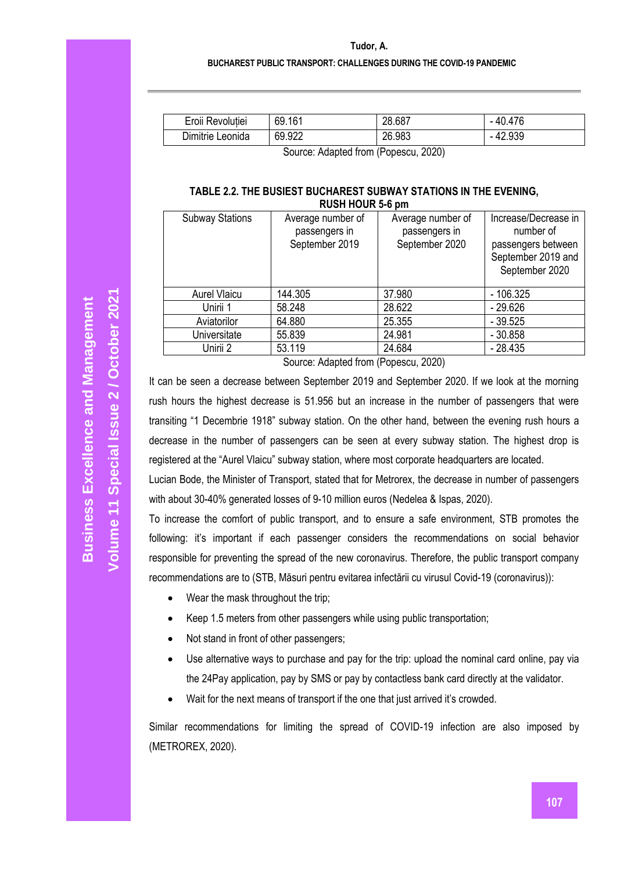**BUCHAREST PUBLIC TRANSPORT: CHALLENGES DURING THE COVID-19 PANDEMIC**

| Eroii Revolutiei | 69.161 | 28.687 | $-40.476$ |
|------------------|--------|--------|-----------|
| Dimitrie Leonida | 69.922 | 26.983 | $-42.939$ |
|                  |        | $\sim$ |           |

Source: Adapted from (Popescu, 2020)

#### **TABLE 2.2. THE BUSIEST BUCHAREST SUBWAY STATIONS IN THE EVENING, RUSH HOUR 5-6 pm**

| <b>Subway Stations</b> | Average number of<br>passengers in<br>September 2019 | Average number of<br>passengers in<br>September 2020 | Increase/Decrease in<br>number of<br>passengers between<br>September 2019 and<br>September 2020 |  |  |
|------------------------|------------------------------------------------------|------------------------------------------------------|-------------------------------------------------------------------------------------------------|--|--|
| <b>Aurel Vlaicu</b>    | 144.305                                              | 37.980                                               | $-106.325$                                                                                      |  |  |
| Unirii 1               | 58.248                                               | 28.622                                               | $-29.626$                                                                                       |  |  |
| Aviatorilor            | 64.880                                               | 25.355                                               | $-39.525$                                                                                       |  |  |
| Universitate           | 55.839                                               | 24.981                                               | $-30.858$                                                                                       |  |  |
| Unirii 2               | 53.119                                               | 24.684                                               | $-28.435$                                                                                       |  |  |
|                        |                                                      |                                                      |                                                                                                 |  |  |

Source: Adapted from (Popescu, 2020)

It can be seen a decrease between September 2019 and September 2020. If we look at the morning rush hours the highest decrease is 51.956 but an increase in the number of passengers that were transiting "1 Decembrie 1918" subway station. On the other hand, between the evening rush hours a decrease in the number of passengers can be seen at every subway station. The highest drop is registered at the "Aurel Vlaicu" subway station, where most corporate headquarters are located.

Lucian Bode, the Minister of Transport, stated that for Metrorex, the decrease in number of passengers with about 30-40% generated losses of 9-10 million euros (Nedelea & Ispas, 2020).

To increase the comfort of public transport, and to ensure a safe environment, STB promotes the following: it's important if each passenger considers the recommendations on social behavior responsible for preventing the spread of the new coronavirus. Therefore, the public transport company recommendations are to (STB, Măsuri pentru evitarea infectării cu virusul Covid-19 (coronavirus)):

- Wear the mask throughout the trip;
- Keep 1.5 meters from other passengers while using public transportation;
- Not stand in front of other passengers;
- Use alternative ways to purchase and pay for the trip: upload the nominal card online, pay via the 24Pay application, pay by SMS or pay by contactless bank card directly at the validator.
- Wait for the next means of transport if the one that just arrived it's crowded.

Similar recommendations for limiting the spread of COVID-19 infection are also imposed by (METROREX, 2020).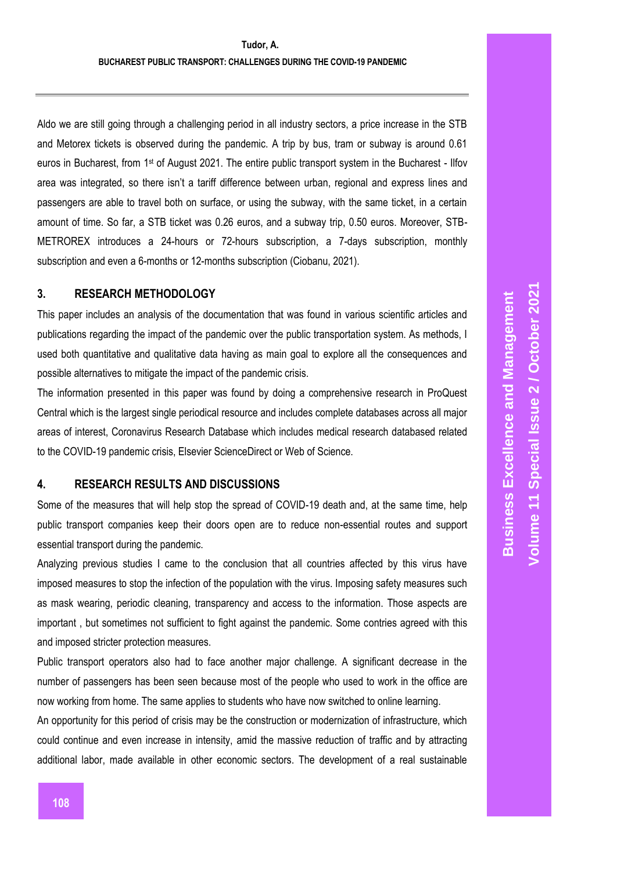Aldo we are still going through a challenging period in all industry sectors, a price increase in the STB and Metorex tickets is observed during the pandemic. A trip by bus, tram or subway is around 0.61 euros in Bucharest, from 1<sup>st</sup> of August 2021. The entire public transport system in the Bucharest - Ilfov area was integrated, so there isn't a tariff difference between urban, regional and express lines and passengers are able to travel both on surface, or using the subway, with the same ticket, in a certain amount of time. So far, a STB ticket was 0.26 euros, and a subway trip, 0.50 euros. Moreover, STB-METROREX introduces a 24-hours or 72-hours subscription, a 7-days subscription, monthly subscription and even a 6-months or 12-months subscription (Ciobanu, 2021).

## **3. RESEARCH METHODOLOGY**

This paper includes an analysis of the documentation that was found in various scientific articles and publications regarding the impact of the pandemic over the public transportation system. As methods, I used both quantitative and qualitative data having as main goal to explore all the consequences and possible alternatives to mitigate the impact of the pandemic crisis.

The information presented in this paper was found by doing a comprehensive research in ProQuest Central which is the largest single periodical resource and includes complete databases across all major areas of interest, Coronavirus Research Database which includes medical research databased related to the COVID-19 pandemic crisis, Elsevier ScienceDirect or Web of Science.

# **4. RESEARCH RESULTS AND DISCUSSIONS**

Some of the measures that will help stop the spread of COVID-19 death and, at the same time, help public transport companies keep their doors open are to reduce non-essential routes and support essential transport during the pandemic.

Analyzing previous studies I came to the conclusion that all countries affected by this virus have imposed measures to stop the infection of the population with the virus. Imposing safety measures such as mask wearing, periodic cleaning, transparency and access to the information. Those aspects are important , but sometimes not sufficient to fight against the pandemic. Some contries agreed with this and imposed stricter protection measures.

Public transport operators also had to face another major challenge. A significant decrease in the number of passengers has been seen because most of the people who used to work in the office are now working from home. The same applies to students who have now switched to online learning.

An opportunity for this period of crisis may be the construction or modernization of infrastructure, which could continue and even increase in intensity, amid the massive reduction of traffic and by attracting additional labor, made available in other economic sectors. The development of a real sustainable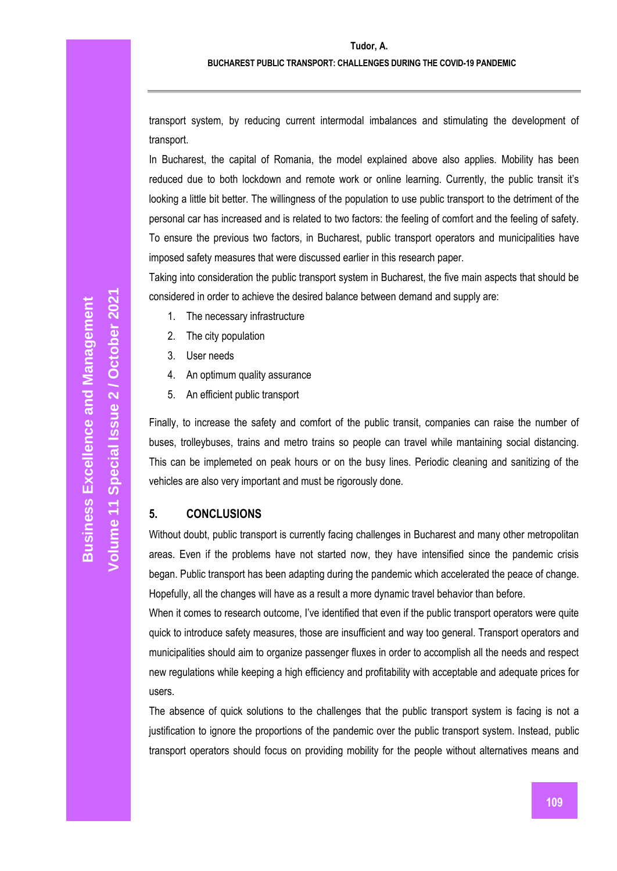transport system, by reducing current intermodal imbalances and stimulating the development of transport.

In Bucharest, the capital of Romania, the model explained above also applies. Mobility has been reduced due to both lockdown and remote work or online learning. Currently, the public transit it's looking a little bit better. The willingness of the population to use public transport to the detriment of the personal car has increased and is related to two factors: the feeling of comfort and the feeling of safety. To ensure the previous two factors, in Bucharest, public transport operators and municipalities have imposed safety measures that were discussed earlier in this research paper.

Taking into consideration the public transport system in Bucharest, the five main aspects that should be considered in order to achieve the desired balance between demand and supply are:

- 1. The necessary infrastructure
- 2. The city population
- 3. User needs
- 4. An optimum quality assurance
- 5. An efficient public transport

Finally, to increase the safety and comfort of the public transit, companies can raise the number of buses, trolleybuses, trains and metro trains so people can travel while mantaining social distancing. This can be implemeted on peak hours or on the busy lines. Periodic cleaning and sanitizing of the vehicles are also very important and must be rigorously done.

# **5. CONCLUSIONS**

Without doubt, public transport is currently facing challenges in Bucharest and many other metropolitan areas. Even if the problems have not started now, they have intensified since the pandemic crisis began. Public transport has been adapting during the pandemic which accelerated the peace of change. Hopefully, all the changes will have as a result a more dynamic travel behavior than before.

When it comes to research outcome, I've identified that even if the public transport operators were quite quick to introduce safety measures, those are insufficient and way too general. Transport operators and municipalities should aim to organize passenger fluxes in order to accomplish all the needs and respect new regulations while keeping a high efficiency and profitability with acceptable and adequate prices for users.

The absence of quick solutions to the challenges that the public transport system is facing is not a justification to ignore the proportions of the pandemic over the public transport system. Instead, public transport operators should focus on providing mobility for the people without alternatives means and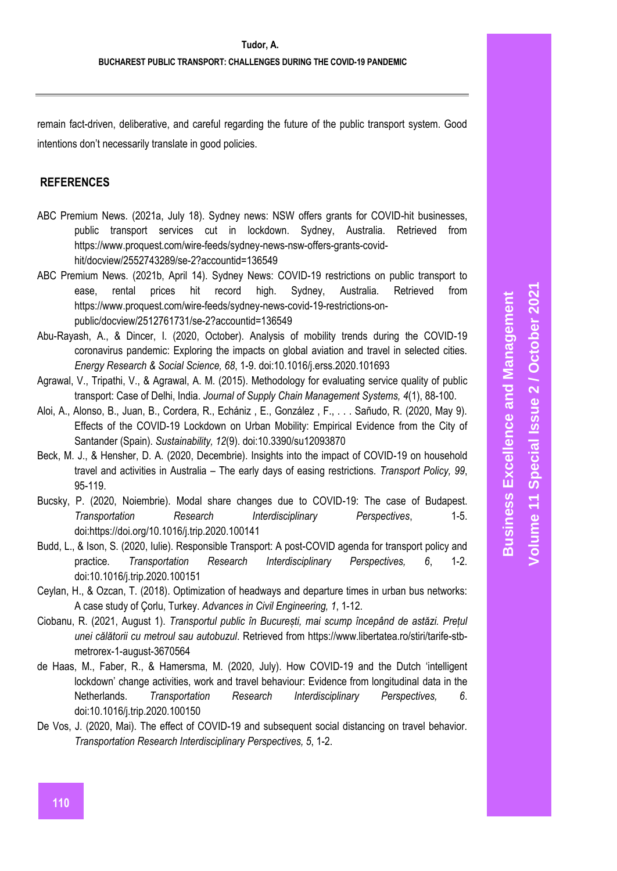remain fact-driven, deliberative, and careful regarding the future of the public transport system. Good intentions don't necessarily translate in good policies.

# **REFERENCES**

- ABC Premium News. (2021a, July 18). Sydney news: NSW offers grants for COVID-hit businesses, public transport services cut in lockdown. Sydney, Australia. Retrieved from https://www.proquest.com/wire-feeds/sydney-news-nsw-offers-grants-covidhit/docview/2552743289/se-2?accountid=136549
- ABC Premium News. (2021b, April 14). Sydney News: COVID-19 restrictions on public transport to ease, rental prices hit record high. Sydney, Australia. Retrieved from https://www.proquest.com/wire-feeds/sydney-news-covid-19-restrictions-onpublic/docview/2512761731/se-2?accountid=136549
- Abu-Rayash, A., & Dincer, I. (2020, October). Analysis of mobility trends during the COVID-19 coronavirus pandemic: Exploring the impacts on global aviation and travel in selected cities. *Energy Research & Social Science, 68*, 1-9. doi:10.1016/j.erss.2020.101693
- Agrawal, V., Tripathi, V., & Agrawal, A. M. (2015). Methodology for evaluating service quality of public transport: Case of Delhi, India. *Journal of Supply Chain Management Systems, 4*(1), 88-100.
- Aloi, A., Alonso, B., Juan, B., Cordera, R., Echániz , E., González , F., . . . Sañudo, R. (2020, May 9). Effects of the COVID-19 Lockdown on Urban Mobility: Empirical Evidence from the City of Santander (Spain). *Sustainability, 12*(9). doi:10.3390/su12093870
- Beck, M. J., & Hensher, D. A. (2020, Decembrie). Insights into the impact of COVID-19 on household travel and activities in Australia – The early days of easing restrictions. *Transport Policy, 99*, 95-119.
- Bucsky, P. (2020, Noiembrie). Modal share changes due to COVID-19: The case of Budapest. *Transportation Research Interdisciplinary Perspectives*, 1-5. doi:https://doi.org/10.1016/j.trip.2020.100141
- Budd, L., & Ison, S. (2020, Iulie). Responsible Transport: A post-COVID agenda for transport policy and practice. *Transportation Research Interdisciplinary Perspectives, 6*, 1-2. doi:10.1016/j.trip.2020.100151
- Ceylan, H., & Ozcan, T. (2018). Optimization of headways and departure times in urban bus networks: A case study of Çorlu, Turkey. *Advances in Civil Engineering, 1*, 1-12.
- Ciobanu, R. (2021, August 1). *Transportul public în București, mai scump începând de astăzi. Prețul unei călătorii cu metroul sau autobuzul*. Retrieved from https://www.libertatea.ro/stiri/tarife-stbmetrorex-1-august-3670564
- de Haas, M., Faber, R., & Hamersma, M. (2020, July). How COVID-19 and the Dutch 'intelligent lockdown' change activities, work and travel behaviour: Evidence from longitudinal data in the Netherlands. *Transportation Research Interdisciplinary Perspectives, 6*. doi:10.1016/j.trip.2020.100150
- De Vos, J. (2020, Mai). The effect of COVID-19 and subsequent social distancing on travel behavior. *Transportation Research Interdisciplinary Perspectives, 5*, 1-2.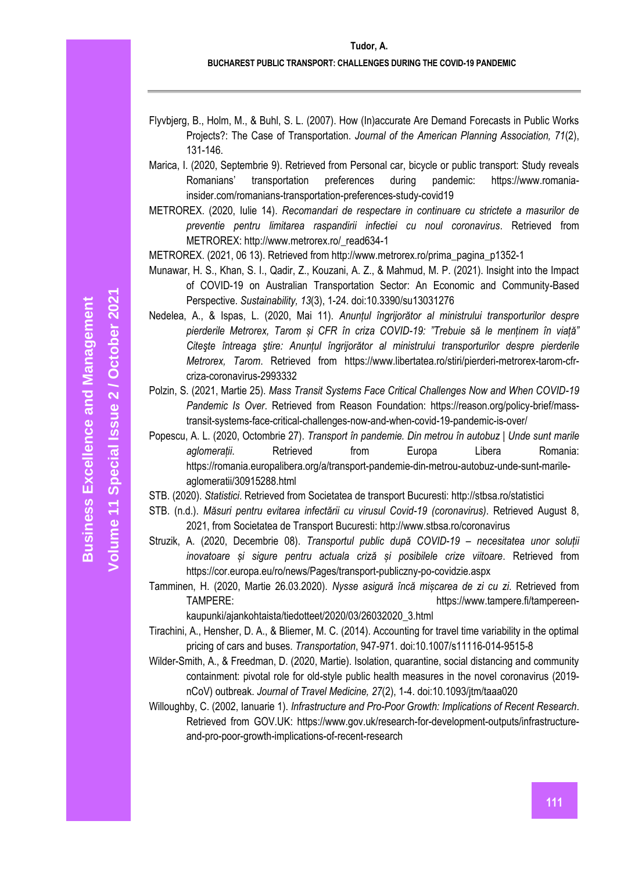- Flyvbjerg, B., Holm, M., & Buhl, S. L. (2007). How (In)accurate Are Demand Forecasts in Public Works Projects?: The Case of Transportation. *Journal of the American Planning Association, 71*(2), 131-146.
- Marica, I. (2020, Septembrie 9). Retrieved from Personal car, bicycle or public transport: Study reveals Romanians' transportation preferences during pandemic: https://www.romaniainsider.com/romanians-transportation-preferences-study-covid19
- METROREX. (2020, Iulie 14). *Recomandari de respectare in continuare cu strictete a masurilor de preventie pentru limitarea raspandirii infectiei cu noul coronavirus*. Retrieved from METROREX: http://www.metrorex.ro/\_read634-1

METROREX. (2021, 06 13). Retrieved from http://www.metrorex.ro/prima\_pagina\_p1352-1

- Munawar, H. S., Khan, S. I., Qadir, Z., Kouzani, A. Z., & Mahmud, M. P. (2021). Insight into the Impact of COVID-19 on Australian Transportation Sector: An Economic and Community-Based Perspective. *Sustainability, 13*(3), 1-24. doi:10.3390/su13031276
- Nedelea, A., & Ispas, L. (2020, Mai 11). *Anunțul îngrijorător al ministrului transporturilor despre pierderile Metrorex, Tarom și CFR în criza COVID-19: "Trebuie să le menținem în viață" Citeşte întreaga ştire: Anunțul îngrijorător al ministrului transporturilor despre pierderile Metrorex, Tarom*. Retrieved from https://www.libertatea.ro/stiri/pierderi-metrorex-tarom-cfrcriza-coronavirus-2993332
- Polzin, S. (2021, Martie 25). *Mass Transit Systems Face Critical Challenges Now and When COVID-19 Pandemic Is Over*. Retrieved from Reason Foundation: https://reason.org/policy-brief/masstransit-systems-face-critical-challenges-now-and-when-covid-19-pandemic-is-over/
- Popescu, A. L. (2020, Octombrie 27). *Transport în pandemie. Din metrou în autobuz | Unde sunt marile aglomerații*. Retrieved from Europa Libera Romania: https://romania.europalibera.org/a/transport-pandemie-din-metrou-autobuz-unde-sunt-marileaglomeratii/30915288.html
- STB. (2020). *Statistici*. Retrieved from Societatea de transport Bucuresti: http://stbsa.ro/statistici
- STB. (n.d.). *Măsuri pentru evitarea infectării cu virusul Covid-19 (coronavirus)*. Retrieved August 8, 2021, from Societatea de Transport Bucuresti: http://www.stbsa.ro/coronavirus
- Struzik, A. (2020, Decembrie 08). *Transportul public după COVID-19 – necesitatea unor soluții inovatoare și sigure pentru actuala criză și posibilele crize viitoare*. Retrieved from https://cor.europa.eu/ro/news/Pages/transport-publiczny-po-covidzie.aspx
- Tamminen, H. (2020, Martie 26.03.2020). *Nysse asigură încă mișcarea de zi cu zi*. Retrieved from TAMPERE: https://www.tampere.fi/tampereenkaupunki/ajankohtaista/tiedotteet/2020/03/26032020\_3.html
- Tirachini, A., Hensher, D. A., & Bliemer, M. C. (2014). Accounting for travel time variability in the optimal pricing of cars and buses. *Transportation*, 947-971. doi:10.1007/s11116-014-9515-8
- Wilder-Smith, A., & Freedman, D. (2020, Martie). Isolation, quarantine, social distancing and community containment: pivotal role for old-style public health measures in the novel coronavirus (2019 nCoV) outbreak. *Journal of Travel Medicine, 27*(2), 1-4. doi:10.1093/jtm/taaa020
- Willoughby, C. (2002, Ianuarie 1). *Infrastructure and Pro-Poor Growth: Implications of Recent Research*. Retrieved from GOV.UK: https://www.gov.uk/research-for-development-outputs/infrastructureand-pro-poor-growth-implications-of-recent-research